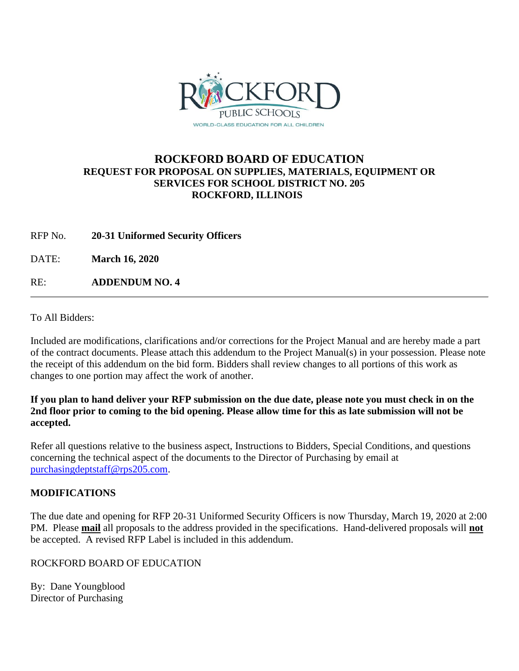

### **ROCKFORD BOARD OF EDUCATION REQUEST FOR PROPOSAL ON SUPPLIES, MATERIALS, EQUIPMENT OR SERVICES FOR SCHOOL DISTRICT NO. 205 ROCKFORD, ILLINOIS**

RFP No. **20-31 Uniformed Security Officers**

DATE: **March 16, 2020**

RE: **ADDENDUM NO. 4**

To All Bidders:

Included are modifications, clarifications and/or corrections for the Project Manual and are hereby made a part of the contract documents. Please attach this addendum to the Project Manual(s) in your possession. Please note the receipt of this addendum on the bid form. Bidders shall review changes to all portions of this work as changes to one portion may affect the work of another.

#### **If you plan to hand deliver your RFP submission on the due date, please note you must check in on the 2nd floor prior to coming to the bid opening. Please allow time for this as late submission will not be accepted.**

Refer all questions relative to the business aspect, Instructions to Bidders, Special Conditions, and questions concerning the technical aspect of the documents to the Director of Purchasing by email at [purchasingdeptstaff@rps205.com.](mailto:purchasingdeptstaff@rps205.com)

#### **MODIFICATIONS**

The due date and opening for RFP 20-31 Uniformed Security Officers is now Thursday, March 19, 2020 at 2:00 PM. Please **mail** all proposals to the address provided in the specifications. Hand-delivered proposals will **not** be accepted. A revised RFP Label is included in this addendum.

#### ROCKFORD BOARD OF EDUCATION

By: Dane Youngblood Director of Purchasing